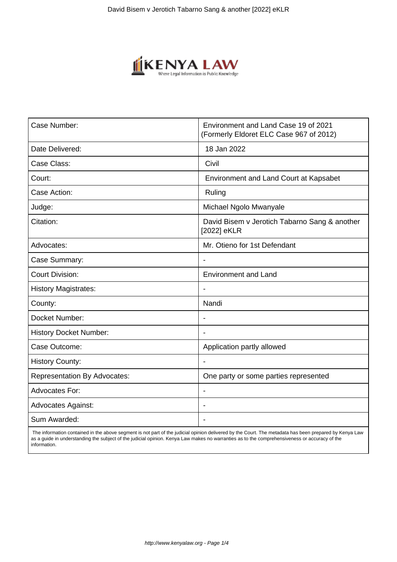

| Case Number:                        | Environment and Land Case 19 of 2021<br>(Formerly Eldoret ELC Case 967 of 2012) |
|-------------------------------------|---------------------------------------------------------------------------------|
| Date Delivered:                     | 18 Jan 2022                                                                     |
| Case Class:                         | Civil                                                                           |
| Court:                              | Environment and Land Court at Kapsabet                                          |
| Case Action:                        | Ruling                                                                          |
| Judge:                              | Michael Ngolo Mwanyale                                                          |
| Citation:                           | David Bisem v Jerotich Tabarno Sang & another<br>[2022] eKLR                    |
| Advocates:                          | Mr. Otieno for 1st Defendant                                                    |
| Case Summary:                       | Ĭ.                                                                              |
| <b>Court Division:</b>              | <b>Environment and Land</b>                                                     |
| <b>History Magistrates:</b>         |                                                                                 |
| County:                             | Nandi                                                                           |
| Docket Number:                      |                                                                                 |
| <b>History Docket Number:</b>       |                                                                                 |
| Case Outcome:                       | Application partly allowed                                                      |
| <b>History County:</b>              |                                                                                 |
| <b>Representation By Advocates:</b> | One party or some parties represented                                           |
| <b>Advocates For:</b>               | $\blacksquare$                                                                  |
| <b>Advocates Against:</b>           |                                                                                 |
| Sum Awarded:                        | ۰                                                                               |

 The information contained in the above segment is not part of the judicial opinion delivered by the Court. The metadata has been prepared by Kenya Law as a guide in understanding the subject of the judicial opinion. Kenya Law makes no warranties as to the comprehensiveness or accuracy of the information.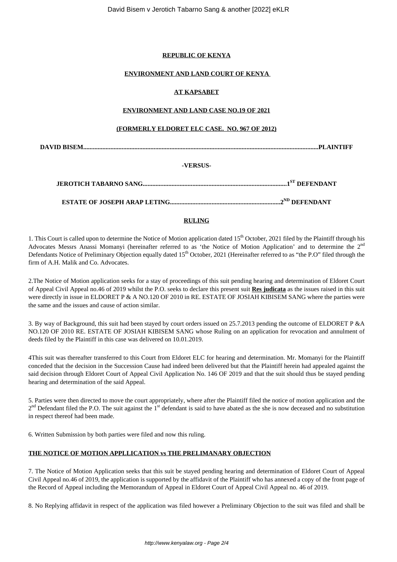## **REPUBLIC OF KENYA**

## **ENVIRONMENT AND LAND COURT OF KENYA**

## **AT KAPSABET**

### **ENVIRONMENT AND LAND CASE NO.19 OF 2021**

## **(FORMERLY ELDORET ELC CASE. NO. 967 OF 2012)**

**DAVID BISEM...................................................................................................................................................PLAINTIFF**

## **-VERSUS-**

**JEROTICH TABARNO SANG..........................................................................................1ST DEFENDANT**

**ESTATE OF JOSEPH ARAP LETING.....................................................................2ND DEFENDANT**

## **RULING**

1. This Court is called upon to determine the Notice of Motion application dated 15<sup>th</sup> October, 2021 filed by the Plaintiff through his Advocates Messrs Anassi Momanyi (hereinafter referred to as 'the Notice of Motion Application' and to determine the 2<sup>nd</sup> Defendants Notice of Preliminary Objection equally dated 15<sup>th</sup> October, 2021 (Hereinafter referred to as "the P.O" filed through the firm of A.H. Malik and Co. Advocates.

2.The Notice of Motion application seeks for a stay of proceedings of this suit pending hearing and determination of Eldoret Court of Appeal Civil Appeal no.46 of 2019 whilst the P.O. seeks to declare this present suit **Res judicata** as the issues raised in this suit were directly in issue in ELDORET P & A NO.120 OF 2010 in RE. ESTATE OF JOSIAH KIBISEM SANG where the parties were the same and the issues and cause of action similar.

3. By way of Background, this suit had been stayed by court orders issued on 25.7.2013 pending the outcome of ELDORET P &A NO.120 OF 2010 RE. ESTATE OF JOSIAH KIBISEM SANG whose Ruling on an application for revocation and annulment of deeds filed by the Plaintiff in this case was delivered on 10.01.2019.

4This suit was thereafter transferred to this Court from Eldoret ELC for hearing and determination. Mr. Momanyi for the Plaintiff conceded that the decision in the Succession Cause had indeed been delivered but that the Plaintiff herein had appealed against the said decision through Eldoret Court of Appeal Civil Application No. 146 OF 2019 and that the suit should thus be stayed pending hearing and determination of the said Appeal.

5. Parties were then directed to move the court appropriately, where after the Plaintiff filed the notice of motion application and the  $2<sup>nd</sup>$  Defendant filed the P.O. The suit against the 1<sup>st</sup> defendant is said to have abated as the she is now deceased and no substitution in respect thereof had been made.

6. Written Submission by both parties were filed and now this ruling.

### **THE NOTICE OF MOTION APPLLICATION vs THE PRELIMANARY OBJECTION**

7. The Notice of Motion Application seeks that this suit be stayed pending hearing and determination of Eldoret Court of Appeal Civil Appeal no.46 of 2019, the application is supported by the affidavit of the Plaintiff who has annexed a copy of the front page of the Record of Appeal including the Memorandum of Appeal in Eldoret Court of Appeal Civil Appeal no. 46 of 2019.

8. No Replying affidavit in respect of the application was filed however a Preliminary Objection to the suit was filed and shall be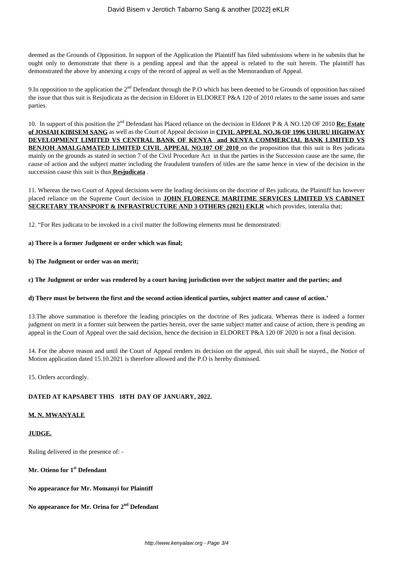deemed as the Grounds of Opposition. In support of the Application the Plaintiff has filed submissions where in he submits that he ought only to demonstrate that there is a pending appeal and that the appeal is related to the suit herein. The plaintiff has demonstrated the above by annexing a copy of the record of appeal as well as the Memorandum of Appeal.

9.In opposition to the application the  $2<sup>nd</sup>$  Defendant through the P.O which has been deemed to be Grounds of opposition has raised the issue that thus suit is Resjudicata as the decision in Eldoret in ELDORET P&A 120 of 2010 relates to the same issues and same parties.

10. In support of this position the 2nd Defendant has Placed reliance on the decision in Eldoret P & A NO.120 OF 2010 **Re: Estate of JOSIAH KIBISEM SANG** as well as the Court of Appeal decision in **CIVIL APPEAL NO.36 OF 1996 UHURU HIGHWAY DEVELOPMENT LIMITED VS CENTRAL BANK OF KENYA and KENYA COMMERCIAL BANK LIMITED VS BENJOH AMALGAMATED LIMITED CIVIL APPEAL NO.107 OF 2010** on the proposition that this suit is Res judicata mainly on the grounds as stated in section 7 of the Civil Procedure Act in that the parties in the Succession cause are the same, the cause of action and the subject matter including the fraudulent transfers of titles are the same hence in view of the decision in the succession cause this suit is thus **Resjudicata** .

11. Whereas the two Court of Appeal decisions were the leading decisions on the doctrine of Res judicata, the Plaintiff has however placed reliance on the Supreme Court decision in **JOHN FLORENCE MARITIME SERVICES LIMITED VS CABINET SECRETARY TRANSPORT & INFRASTRUCTURE AND 3 OTHERS (2021) EKLR** which provides, interalia that;

12. "For Res judicata to be invoked in a civil matter the following elements must be demonstrated:

#### **a) There is a former Judgment or order which was final;**

**b) The Judgment or order was on merit;** 

**c) The Judgment or order was rendered by a court having jurisdiction over the subject matter and the parties; and**

### **d) There must be between the first and the second action identical parties, subject matter and cause of action.'**

13.The above summation is therefore the leading principles on the doctrine of Res judicata. Whereas there is indeed a former judgment on merit in a former suit between the parties herein, over the same subject matter and cause of action, there is pending an appeal in the Court of Appeal over the said decision, hence the decision in ELDORET P&A 120 0F 2020 is not a final decision.

14. For the above reason and until the Court of Appeal renders its decision on the appeal, this suit shall be stayed., the Notice of Motion application dated 15.10.2021 is therefore allowed and the P.O is hereby dismissed.

15. Orders accordingly.

### **DATED AT KAPSABET THIS 18TH DAY OF JANUARY, 2022.**

### **M. N. MWANYALE**

# **JUDGE.**

Ruling delivered in the presence of: -

**Mr. Otieno for 1st Defendant** 

**No appearance for Mr. Momanyi for Plaintiff** 

## **No appearance for Mr. Orina for 2nd Defendant**